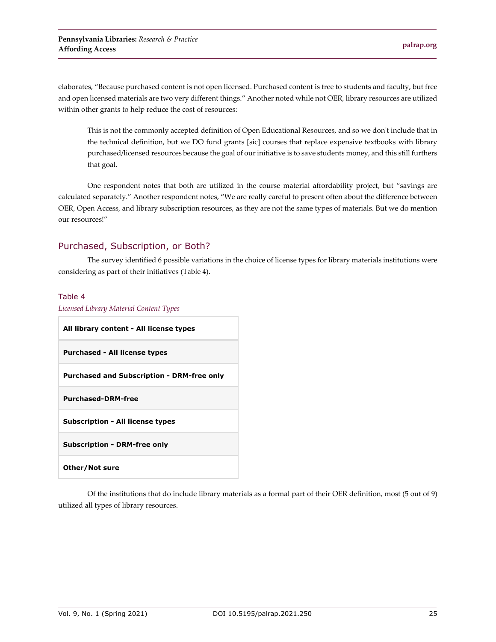elaborates, "Because purchased content is not open licensed. Purchased content is free to students and faculty, but free and open licensed materials are two very different things." Another noted while not OER, library resources are utilized within other grants to help reduce the cost of resources:

This is not the commonly accepted definition of Open Educational Resources, and so we don't include that in the technical definition, but we DO fund grants [sic] courses that replace expensive textbooks with library purchased/licensed resources because the goal of our initiative is to save students money, and this still furthers that goal.

One respondent notes that both are utilized in the course material affordability project, but "savings are calculated separately." Another respondent notes, "We are really careful to present often about the difference between OER, Open Access, and library subscription resources, as they are not the same types of materials. But we do mention our resources!"

### Purchased, Subscription, or Both?

The survey identified 6 possible variations in the choice of license types for library materials institutions were considering as part of their initiatives (Table 4).

### Table 4

| Licensed Library Material Content Types           |
|---------------------------------------------------|
| All library content - All license types           |
| <b>Purchased - All license types</b>              |
| <b>Purchased and Subscription - DRM-free only</b> |
| <b>Purchased-DRM-free</b>                         |
| <b>Subscription - All license types</b>           |
| <b>Subscription - DRM-free only</b>               |
| Other/Not sure                                    |

Of the institutions that do include library materials as a formal part of their OER definition, most (5 out of 9) utilized all types of library resources.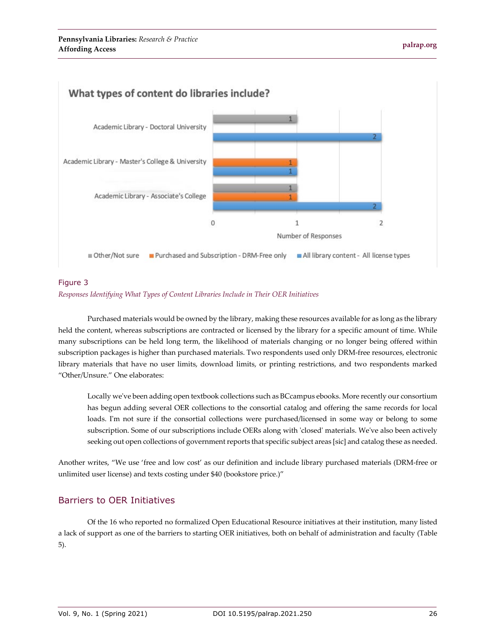

### Figure 3 *Responses Identifying What Types of Content Libraries Include in Their OER Initiatives*

Purchased materials would be owned by the library, making these resources available for as long as the library held the content, whereas subscriptions are contracted or licensed by the library for a specific amount of time. While many subscriptions can be held long term, the likelihood of materials changing or no longer being offered within subscription packages is higher than purchased materials. Two respondents used only DRM-free resources, electronic library materials that have no user limits, download limits, or printing restrictions, and two respondents marked "Other/Unsure." One elaborates:

Locally we've been adding open textbook collections such as BCcampus ebooks. More recently our consortium has begun adding several OER collections to the consortial catalog and offering the same records for local loads. I'm not sure if the consortial collections were purchased/licensed in some way or belong to some subscription. Some of our subscriptions include OERs along with 'closed' materials. We've also been actively seeking out open collections of government reports that specific subject areas [sic] and catalog these as needed.

Another writes, "We use 'free and low cost' as our definition and include library purchased materials (DRM-free or unlimited user license) and texts costing under \$40 (bookstore price.)"

## Barriers to OER Initiatives

Of the 16 who reported no formalized Open Educational Resource initiatives at their institution, many listed a lack of support as one of the barriers to starting OER initiatives, both on behalf of administration and faculty (Table 5).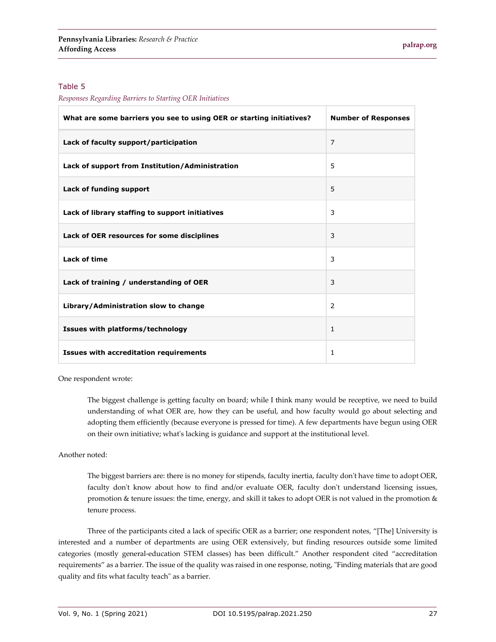#### Table 5

*Responses Regarding Barriers to Starting OER Initiatives*

| What are some barriers you see to using OER or starting initiatives? | <b>Number of Responses</b> |
|----------------------------------------------------------------------|----------------------------|
| Lack of faculty support/participation                                | $\overline{7}$             |
| Lack of support from Institution/Administration                      | 5                          |
| Lack of funding support                                              | 5                          |
| Lack of library staffing to support initiatives                      | 3                          |
| Lack of OER resources for some disciplines                           | 3                          |
| <b>Lack of time</b>                                                  | 3                          |
| Lack of training / understanding of OER                              | 3                          |
| Library/Administration slow to change                                | 2                          |
| Issues with platforms/technology                                     | $\mathbf{1}$               |
| <b>Issues with accreditation requirements</b>                        | 1                          |

One respondent wrote:

The biggest challenge is getting faculty on board; while I think many would be receptive, we need to build understanding of what OER are, how they can be useful, and how faculty would go about selecting and adopting them efficiently (because everyone is pressed for time). A few departments have begun using OER on their own initiative; what's lacking is guidance and support at the institutional level.

### Another noted:

The biggest barriers are: there is no money for stipends, faculty inertia, faculty don't have time to adopt OER, faculty don't know about how to find and/or evaluate OER, faculty don't understand licensing issues, promotion & tenure issues: the time, energy, and skill it takes to adopt OER is not valued in the promotion & tenure process.

Three of the participants cited a lack of specific OER as a barrier; one respondent notes, "[The] University is interested and a number of departments are using OER extensively, but finding resources outside some limited categories (mostly general-education STEM classes) has been difficult." Another respondent cited "accreditation requirements" as a barrier. The issue of the quality was raised in one response, noting, "Finding materials that are good quality and fits what faculty teach" as a barrier.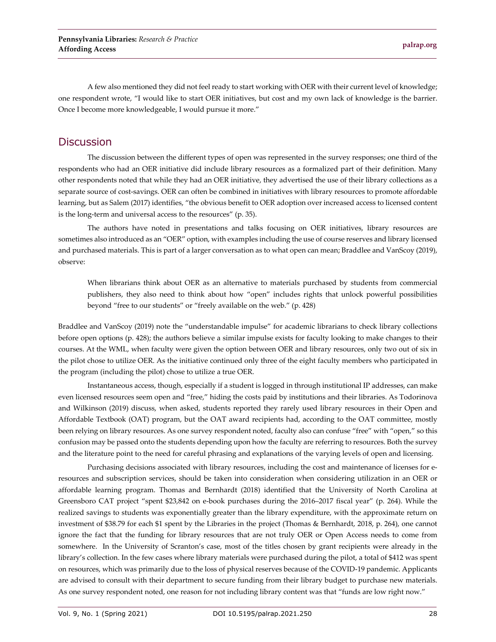A few also mentioned they did not feel ready to start working with OER with their current level of knowledge; one respondent wrote, "I would like to start OER initiatives, but cost and my own lack of knowledge is the barrier. Once I become more knowledgeable, I would pursue it more."

### **Discussion**

The discussion between the different types of open was represented in the survey responses; one third of the respondents who had an OER initiative did include library resources as a formalized part of their definition. Many other respondents noted that while they had an OER initiative, they advertised the use of their library collections as a separate source of cost-savings. OER can often be combined in initiatives with library resources to promote affordable learning, but as Salem (2017) identifies, "the obvious benefit to OER adoption over increased access to licensed content is the long-term and universal access to the resources" (p. 35).

The authors have noted in presentations and talks focusing on OER initiatives, library resources are sometimes also introduced as an "OER" option, with examples including the use of course reserves and library licensed and purchased materials. This is part of a larger conversation as to what open can mean; Braddlee and VanScoy (2019), observe:

When librarians think about OER as an alternative to materials purchased by students from commercial publishers, they also need to think about how "open" includes rights that unlock powerful possibilities beyond "free to our students" or "freely available on the web." (p. 428)

Braddlee and VanScoy (2019) note the "understandable impulse" for academic librarians to check library collections before open options (p. 428); the authors believe a similar impulse exists for faculty looking to make changes to their courses. At the WML, when faculty were given the option between OER and library resources, only two out of six in the pilot chose to utilize OER. As the initiative continued only three of the eight faculty members who participated in the program (including the pilot) chose to utilize a true OER.

Instantaneous access, though, especially if a student is logged in through institutional IP addresses, can make even licensed resources seem open and "free," hiding the costs paid by institutions and their libraries. As Todorinova and Wilkinson (2019) discuss, when asked, students reported they rarely used library resources in their Open and Affordable Textbook (OAT) program, but the OAT award recipients had, according to the OAT committee, mostly been relying on library resources. As one survey respondent noted, faculty also can confuse "free" with "open," so this confusion may be passed onto the students depending upon how the faculty are referring to resources. Both the survey and the literature point to the need for careful phrasing and explanations of the varying levels of open and licensing.

Purchasing decisions associated with library resources, including the cost and maintenance of licenses for eresources and subscription services, should be taken into consideration when considering utilization in an OER or affordable learning program. Thomas and Bernhardt (2018) identified that the University of North Carolina at Greensboro CAT project "spent \$23,842 on e-book purchases during the 2016–2017 fiscal year" (p. 264). While the realized savings to students was exponentially greater than the library expenditure, with the approximate return on investment of \$38.79 for each \$1 spent by the Libraries in the project (Thomas & Bernhardt, 2018, p. 264), one cannot ignore the fact that the funding for library resources that are not truly OER or Open Access needs to come from somewhere. In the University of Scranton's case, most of the titles chosen by grant recipients were already in the library's collection. In the few cases where library materials were purchased during the pilot, a total of \$412 was spent on resources, which was primarily due to the loss of physical reserves because of the COVID-19 pandemic. Applicants are advised to consult with their department to secure funding from their library budget to purchase new materials. As one survey respondent noted, one reason for not including library content was that "funds are low right now."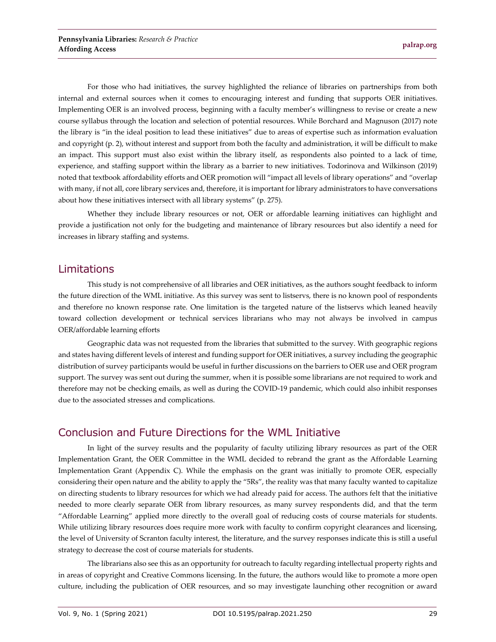For those who had initiatives, the survey highlighted the reliance of libraries on partnerships from both internal and external sources when it comes to encouraging interest and funding that supports OER initiatives. Implementing OER is an involved process, beginning with a faculty member's willingness to revise or create a new course syllabus through the location and selection of potential resources. While Borchard and Magnuson (2017) note the library is "in the ideal position to lead these initiatives" due to areas of expertise such as information evaluation and copyright (p. 2), without interest and support from both the faculty and administration, it will be difficult to make an impact. This support must also exist within the library itself, as respondents also pointed to a lack of time, experience, and staffing support within the library as a barrier to new initiatives. Todorinova and Wilkinson (2019) noted that textbook affordability efforts and OER promotion will "impact all levels of library operations" and "overlap with many, if not all, core library services and, therefore, it is important for library administrators to have conversations about how these initiatives intersect with all library systems" (p. 275).

Whether they include library resources or not, OER or affordable learning initiatives can highlight and provide a justification not only for the budgeting and maintenance of library resources but also identify a need for increases in library staffing and systems.

## Limitations

This study is not comprehensive of all libraries and OER initiatives, as the authors sought feedback to inform the future direction of the WML initiative. As this survey was sent to listservs, there is no known pool of respondents and therefore no known response rate. One limitation is the targeted nature of the listservs which leaned heavily toward collection development or technical services librarians who may not always be involved in campus OER/affordable learning efforts

Geographic data was not requested from the libraries that submitted to the survey. With geographic regions and states having different levels of interest and funding support for OER initiatives, a survey including the geographic distribution of survey participants would be useful in further discussions on the barriers to OER use and OER program support. The survey was sent out during the summer, when it is possible some librarians are not required to work and therefore may not be checking emails, as well as during the COVID-19 pandemic, which could also inhibit responses due to the associated stresses and complications.

## Conclusion and Future Directions for the WML Initiative

In light of the survey results and the popularity of faculty utilizing library resources as part of the OER Implementation Grant, the OER Committee in the WML decided to rebrand the grant as the Affordable Learning Implementation Grant (Appendix C). While the emphasis on the grant was initially to promote OER, especially considering their open nature and the ability to apply the "5Rs", the reality was that many faculty wanted to capitalize on directing students to library resources for which we had already paid for access. The authors felt that the initiative needed to more clearly separate OER from library resources, as many survey respondents did, and that the term "Affordable Learning" applied more directly to the overall goal of reducing costs of course materials for students. While utilizing library resources does require more work with faculty to confirm copyright clearances and licensing, the level of University of Scranton faculty interest, the literature, and the survey responses indicate this is still a useful strategy to decrease the cost of course materials for students.

The librarians also see this as an opportunity for outreach to faculty regarding intellectual property rights and in areas of copyright and Creative Commons licensing. In the future, the authors would like to promote a more open culture, including the publication of OER resources, and so may investigate launching other recognition or award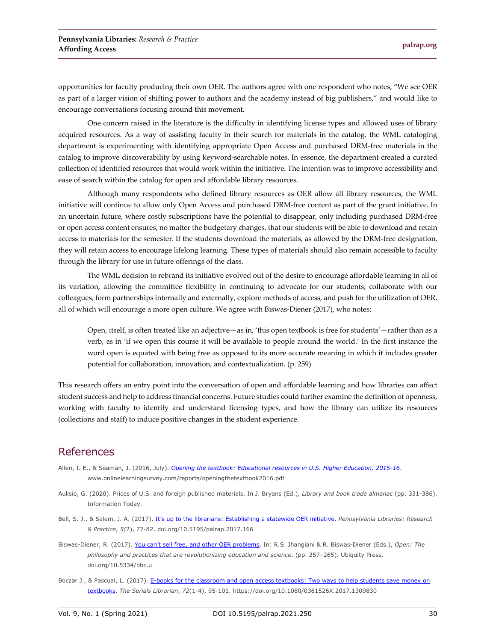opportunities for faculty producing their own OER. The authors agree with one respondent who notes, "We see OER as part of a larger vision of shifting power to authors and the academy instead of big publishers," and would like to encourage conversations focusing around this movement.

One concern raised in the literature is the difficulty in identifying license types and allowed uses of library acquired resources. As a way of assisting faculty in their search for materials in the catalog, the WML cataloging department is experimenting with identifying appropriate Open Access and purchased DRM-free materials in the catalog to improve discoverability by using keyword-searchable notes. In essence, the department created a curated collection of identified resources that would work within the initiative. The intention was to improve accessibility and ease of search within the catalog for open and affordable library resources.

Although many respondents who defined library resources as OER allow all library resources, the WML initiative will continue to allow only Open Access and purchased DRM-free content as part of the grant initiative. In an uncertain future, where costly subscriptions have the potential to disappear, only including purchased DRM-free or open access content ensures, no matter the budgetary changes, that our students will be able to download and retain access to materials for the semester. If the students download the materials, as allowed by the DRM-free designation, they will retain access to encourage lifelong learning. These types of materials should also remain accessible to faculty through the library for use in future offerings of the class.

The WML decision to rebrand its initiative evolved out of the desire to encourage affordable learning in all of its variation, allowing the committee flexibility in continuing to advocate for our students, collaborate with our colleagues, form partnerships internally and externally, explore methods of access, and push for the utilization of OER, all of which will encourage a more open culture. We agree with Biswas-Diener (2017), who notes:

Open, itself, is often treated like an adjective—as in, 'this open textbook is free for students'—rather than as a verb, as in 'if we open this course it will be available to people around the world.' In the first instance the word open is equated with being free as opposed to its more accurate meaning in which it includes greater potential for collaboration, innovation, and contextualization. (p. 259)

This research offers an entry point into the conversation of open and affordable learning and how libraries can affect student success and help to address financial concerns. Future studies could further examine the definition of openness, working with faculty to identify and understand licensing types, and how the library can utilize its resources (collections and staff) to induce positive changes in the student experience.

## References

- Allen, I. E., & Seaman, J. (2016, July). *[Opening the textbook: Educational resources in U.S. Higher Education, 2015-16](https://www.onlinelearningsurvey.com/reports/openingthetextbook2016.pdf)*. www.onlinelearningsurvey.com/reports/openingthetextbook2016.pdf
- Aulisio, G. (2020). Prices of U.S. and foreign published materials. In J. Bryans (Ed.), *Library and book trade almanac* (pp. 331-386). Information Today.
- Bell, S. J., & Salem, J. A. (2017). [It's up to the librarians: Establishing a statewide OER initiative.](https://doi.org/10.5195/palrap.2017.166) *Pennsylvania Libraries: Research & Practice*, *5(*2), 77-82. doi.org/10.5195/palrap.2017.166
- Biswas-Diener, R. (2017). [You can't sell free, and other OER problems.](https://doi.org/10.5334/bbc.u) In: R.S. Jhangiani & R. Biswas-Diener (Eds.), *Open: The philosophy and practices that are revolutionizing education and science*. (pp. 257–265). Ubiquity Press. doi.org/10.5334/bbc.u
- Boczar J., & Pascual, L. (2017)[. E-books for the classroom and open access textbooks: Two ways to help students](https://doi.org/10.1080/0361526X.2017.1309830) save money on [textbooks.](https://doi.org/10.1080/0361526X.2017.1309830) *The Serials Librarian*, *72*(1-4), 95-101. https://doi.org/10.1080/0361526X.2017.1309830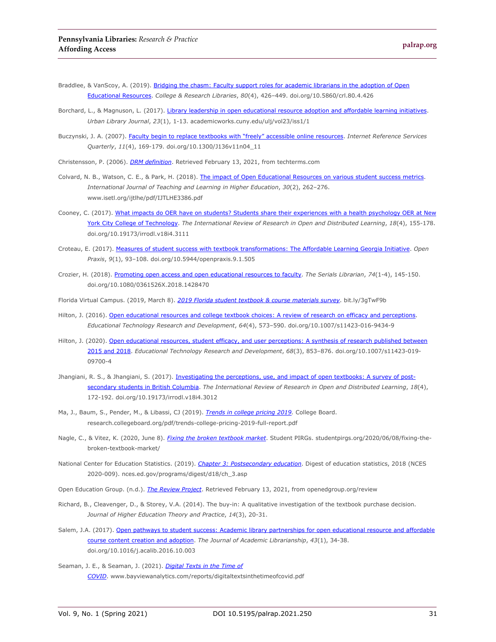- Braddlee, & VanScoy, A. (2019). Bridging the chasm: Faculty support roles for academic librarians in the adoption of Open [Educational Resources.](https://doi.org/10.1080/0361526X.2017.1309830) *College & Research Libraries*, *80*(4), 426–449. doi.org/10.5860/crl.80.4.426
- Borchard, L., & Magnuson, L. (2017). [Library leadership in open educational resource adoption and affordable learning initiatives.](https://academicworks.cuny.edu/ulj/vol23/iss1/1) *Urban Library Journal*, *23*(1), 1-13. academicworks.cuny.edu/ulj/vol23/iss1/1
- Buczynski, J. A. (2007). [Faculty begin to replace textbooks with "freely" accessible online resources.](https://doi.org/10.1300/J136v11n04_11) *Internet Reference Services Quarterly*, *11*(4), 169-179. doi.org/10.1300/J136v11n04\_11

Christensson, P. (2006). *[DRM definition](https://techterms.com/)*. Retrieved February 13, 2021, from techterms.com

- Colvard, N. B., Watson, C. E., & Park, H. (2018). [The impact of Open Educational Resources on various student success metrics.](https://www.isetl.org/ijtlhe/pdf/IJTLHE3386.pdf)  *International Journal of Teaching and Learning in Higher Education*, *30*(2), 262–276. www.isetl.org/ijtlhe/pdf/IJTLHE3386.pdf
- Cooney, C. (2017). What impacts do OER have on students? Students share their experiences with a health psychology OER at New [York City College of Technology.](https://doi.org/10.19173/irrodl.v18i4.3111) *The International Review of Research in Open and Distributed Learning*, *18*(4), 155-178. doi.org/10.19173/irrodl.v18i4.3111
- Croteau, E. (2017). [Measures of student success with textbook transformations: The Affordable Learning Georgia Initiative.](https://doi.org/10.5944/openpraxis.9.1.505) *Open Praxis*, *9*(1), 93–108. doi.org/10.5944/openpraxis.9.1.505
- Crozier, H. (2018). [Promoting open access and open educational resources to faculty.](https://doi.org/10.1080/0361526X.2018.1428470) *The Serials Librarian*, *74*(1-4), 145-150. doi.org/10.1080/0361526X.2018.1428470
- Florida Virtual Campus. (2019, March 8). *[2019 Florida student textbook & course materials survey](https://dlss.flvc.org/documents/210036/1314923/2018+Student+Textbook+and+Course+Materials+Survey+Report+--+FINAL+VERSION+--+20190308.pdf/07478d85-89c2-3742-209a-9cc5df8cd7ea)*. bit.ly/3gTwF9b
- Hilton, J. (2016). Open educational [resources and college textbook choices: A review of research on efficacy and perceptions.](https://doi.org/10.1007/s11423-016-9434-9) *Educational Technology Research and Development*, *64*(4), 573–590. doi.org/10.1007/s11423-016-9434-9
- Hilton, J. (2020). Open educational resources, student efficacy, and user perceptions: A synthesis of research published between [2015 and 2018.](https://doi.org/10.1007/s11423-019-09700-4) *Educational Technology Research and Development*, *68*(3), 853–876. doi.org/10.1007/s11423-019- 09700-4
- Jhangiani, R. S., & Jhangiani, S. (2017). [Investigating the perceptions, use, and impact of open textbooks: A survey of post](https://doi.org/10.19173/irrodl.v18i4.3012)[secondary students in British Columbia.](https://doi.org/10.19173/irrodl.v18i4.3012) *The International Review of Research in Open and Distributed Learning*, *18*(4), 172-192. doi.org/10.19173/irrodl.v18i4.3012
- Ma, J., Baum, S., Pender, M., & Libassi, CJ (2019). *[Trends in college pricing 2019.](https://research.collegeboard.org/pdf/trends-college-pricing-2019-full-report.pdf)* College Board. research.collegeboard.org/pdf/trends-college-pricing-2019-full-report.pdf
- Nagle, C., & Vitez, K. (2020, June 8). *[Fixing the broken textbook market](https://studentpirgs.org/2020/06/08/fixing-the-broken-textbook-market/)*. Student PIRGs. studentpirgs.org/2020/06/08/fixing-thebroken-textbook-market/
- National Center for Education Statistics. (2019). *[Chapter 3: Postsecondary education](https://nces.ed.gov/programs/digest/d18/ch_3.asp)*. Digest of education statistics, 2018 (NCES 2020-009). nces.ed.gov/programs/digest/d18/ch\_3.asp
- Open Education Group. (n.d.). *[The Review Project](https://openedgroup.org/review)*. Retrieved February 13, 2021, from openedgroup.org/review
- Richard, B., Cleavenger, D., & Storey, V.A. (2014). The buy-in: A qualitative investigation of the textbook purchase decision. *Journal of Higher Education Theory and Practice*, *14*(3), 20-31.
- Salem, J.A. (2017). Open pathways to student success: Academic library partnerships for open educational resource and affordable [course content creation and adoption.](https://doi.org/10.1016/j.acalib.2016.10.003) *The Journal of Academic Librarianship*, *43*(1), 34-38. doi.org/10.1016/j.acalib.2016.10.003
- Seaman, J. E., & Seaman, J. (2021). *[Digital Texts in the Time of](https://www.bayviewanalytics.com/reports/digitaltextsinthetimeofcovid.pdf)  [COVID](https://www.bayviewanalytics.com/reports/digitaltextsinthetimeofcovid.pdf)*. www.bayviewanalytics.com/reports/digitaltextsinthetimeofcovid.pdf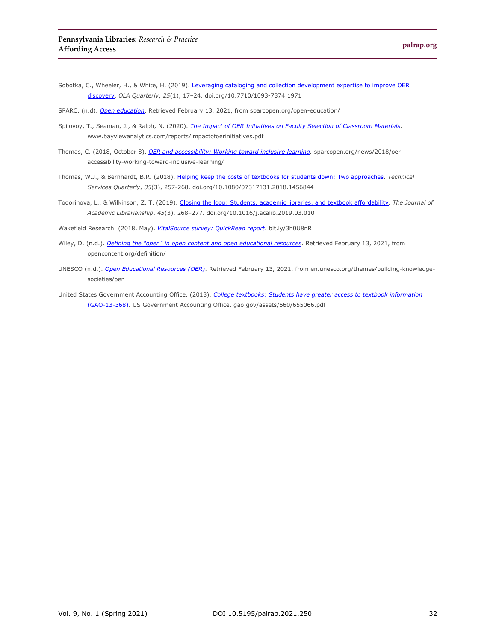- Sobotka, C., Wheeler, H., & White, H. (2019). Leveraging cataloging and collection development expertise to improve OER [discovery.](https://doi.org/10.7710/1093-7374.1971) *OLA Quarterly*, *25*(1), 17–24. doi.org/10.7710/1093-7374.1971
- SPARC. (n.d). *[Open education](https://sparcopen.org/open-education/)*. Retrieved February 13, 2021, from sparcopen.org/open-education/
- Spilovoy, T., Seaman, J., & Ralph, N. (2020). *[The Impact of OER Initiatives on Faculty](https://www.bayviewanalytics.com/reports/impactofoerinitiatives.pdf) Selection of Classroom Materials*. www.bayviewanalytics.com/reports/impactofoerinitiatives.pdf
- Thomas, C. (2018, October 8). *[OER and accessibility: Working toward inclusive learning.](https://sparcopen.org/news/2018/oer-accessibility-working-toward-inclusive-learning/)* sparcopen.org/news/2018/oeraccessibility-working-toward-inclusive-learning/
- Thomas, W.J., & Bernhardt, B.R. (2018). [Helping keep the costs of textbooks for students down: Two approaches.](https://doi.org/10.1080/07317131.2018.1456844) *Technical Services Quarterly*, *35*(3), 257-268. doi.org/10.1080/07317131.2018.1456844
- Todorinova, L., & Wilkinson, Z. T. (2019). [Closing the loop: Students, academic libraries, and textbook affordability.](https://doi.org/10.1016/j.acalib.2019.03.010) *The Journal of Academic Librarianship*, *45*(3), 268–277. doi.org/10.1016/j.acalib.2019.03.010

Wakefield Research. (2018, May). *[VitalSource survey: QuickRead report](https://get.vitalsource.com/hubfs/2018%20Wakefield/Wakefield%20Research%20QuickRead%20Report%20for%20VitalSource.pdf)*. bit.ly/3h0U8nR

- Wiley, D. (n.d.). *[Defining the "open" in open content and open educational resources](http://opencontent.org/definition/)*. Retrieved February 13, 2021, from opencontent.org/definition/
- UNESCO (n.d.). *[Open Educational Resources \(OER\)](https://en.unesco.org/themes/building-knowledge-societies/oer)*. Retrieved February 13, 2021, from en.unesco.org/themes/building-knowledgesocieties/oer
- United States Government Accounting Office. (2013). *[College textbooks: Students have greater access to textbook information](http://www.gao.gov/assets/660/655066.pdf)* [\(GAO-13-368\).](http://www.gao.gov/assets/660/655066.pdf) US Government Accounting Office. gao.gov/assets/660/655066.pdf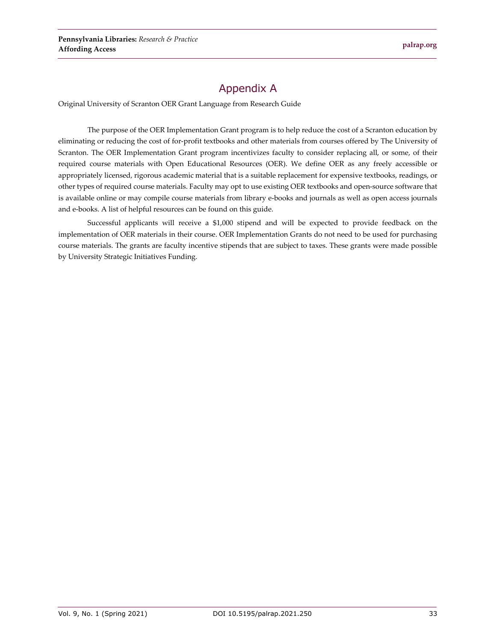# Appendix A

Original University of Scranton OER Grant Language from Research Guide

The purpose of the OER Implementation Grant program is to help reduce the cost of a Scranton education by eliminating or reducing the cost of for-profit textbooks and other materials from courses offered by The University of Scranton. The OER Implementation Grant program incentivizes faculty to consider replacing all, or some, of their required course materials with Open Educational Resources (OER). We define OER as any freely accessible or appropriately licensed, rigorous academic material that is a suitable replacement for expensive textbooks, readings, or other types of required course materials. Faculty may opt to use existing OER textbooks and open-source software that is available online or may compile course materials from library e-books and journals as well as open access journals and e-books. A list of helpful resources can be found on this guide.

Successful applicants will receive a \$1,000 stipend and will be expected to provide feedback on the implementation of OER materials in their course. OER Implementation Grants do not need to be used for purchasing course materials. The grants are faculty incentive stipends that are subject to taxes. These grants were made possible by University Strategic Initiatives Funding.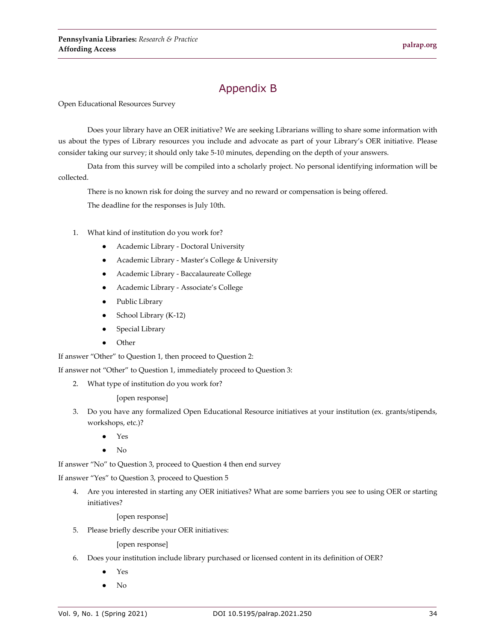# Appendix B

Open Educational Resources Survey

Does your library have an OER initiative? We are seeking Librarians willing to share some information with us about the types of Library resources you include and advocate as part of your Library's OER initiative. Please consider taking our survey; it should only take 5-10 minutes, depending on the depth of your answers.

Data from this survey will be compiled into a scholarly project. No personal identifying information will be collected.

There is no known risk for doing the survey and no reward or compensation is being offered.

The deadline for the responses is July 10th.

- 1. What kind of institution do you work for?
	- Academic Library Doctoral University
	- Academic Library Master's College & University
	- Academic Library Baccalaureate College
	- Academic Library Associate's College
	- Public Library
	- School Library (K-12)
	- Special Library
	- **Other**

If answer "Other" to Question 1, then proceed to Question 2:

If answer not "Other" to Question 1, immediately proceed to Question 3:

2. What type of institution do you work for?

[open response]

- 3. Do you have any formalized Open Educational Resource initiatives at your institution (ex. grants/stipends, workshops, etc.)?
	- Yes
	- No

If answer "No" to Question 3, proceed to Question 4 then end survey

If answer "Yes" to Question 3, proceed to Question 5

4. Are you interested in starting any OER initiatives? What are some barriers you see to using OER or starting initiatives?

[open response]

5. Please briefly describe your OER initiatives:

[open response]

- 6. Does your institution include library purchased or licensed content in its definition of OER?
	- Yes
	- No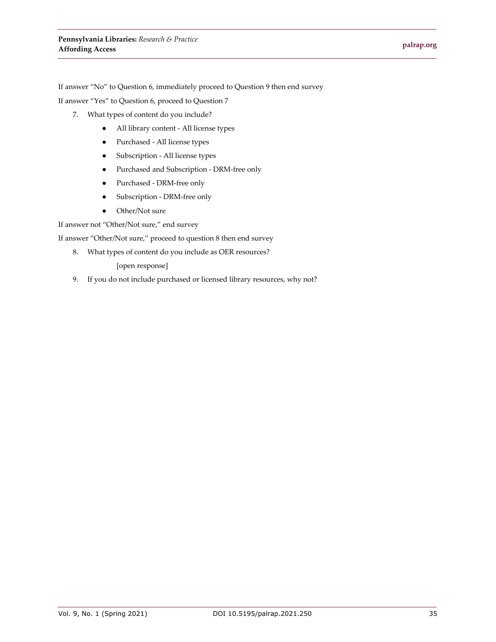If answer "No" to Question 6, immediately proceed to Question 9 then end survey

If answer "Yes" to Question 6, proceed to Question 7

- 7. What types of content do you include?
	- All library content All license types
	- Purchased All license types
	- Subscription All license types
	- Purchased and Subscription DRM-free only
	- Purchased DRM-free only
	- Subscription DRM-free only
	- Other/Not sure

If answer not "Other/Not sure," end survey

If answer "Other/Not sure," proceed to question 8 then end survey

8. What types of content do you include as OER resources?

[open response]

9. If you do not include purchased or licensed library resources, why not?